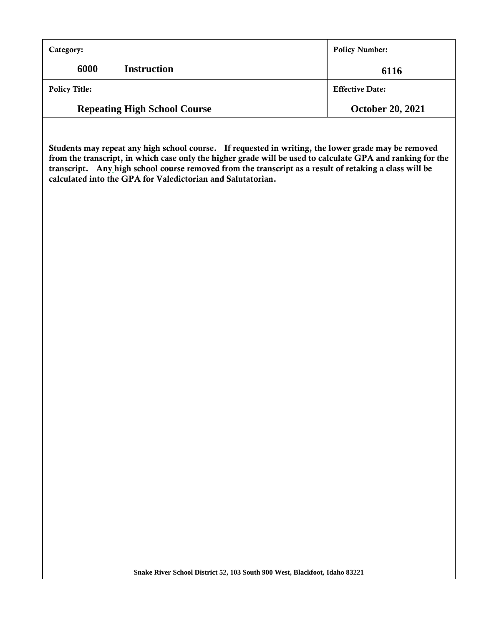| Category:                           | <b>Policy Number:</b>   |
|-------------------------------------|-------------------------|
| 6000<br><b>Instruction</b>          | 6116                    |
| <b>Policy Title:</b>                | <b>Effective Date:</b>  |
| <b>Repeating High School Course</b> | <b>October 20, 2021</b> |

**Students may repeat any high school course. If requested in writing, the lower grade may be removed from the transcript, in which case only the higher grade will be used to calculate GPA and ranking for the transcript. Any high school course removed from the transcript as a result of retaking a class will be calculated into the GPA for Valedictorian and Salutatorian.**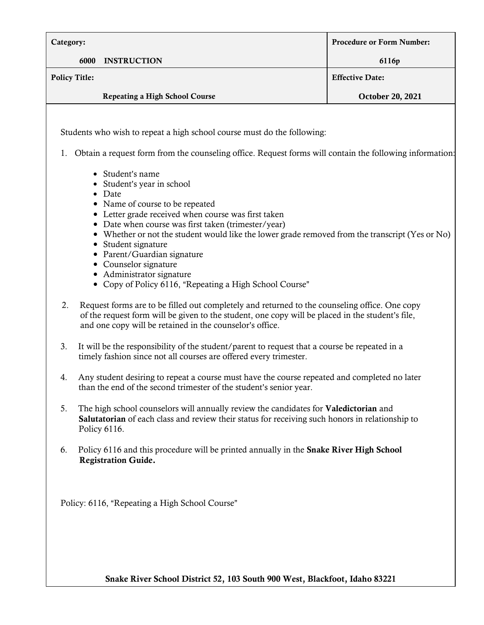| Category:                        |                                                                                                                                                                                                                                                                                                                                                                                                                                                                                                                                                                                                                                                                                                                                                                                                                                                                                                                                                                                                                                                                                                                                                                                                                                                                                                                                                                                                                                                                                                                                                                                                                                                                          | <b>Procedure or Form Number:</b> |
|----------------------------------|--------------------------------------------------------------------------------------------------------------------------------------------------------------------------------------------------------------------------------------------------------------------------------------------------------------------------------------------------------------------------------------------------------------------------------------------------------------------------------------------------------------------------------------------------------------------------------------------------------------------------------------------------------------------------------------------------------------------------------------------------------------------------------------------------------------------------------------------------------------------------------------------------------------------------------------------------------------------------------------------------------------------------------------------------------------------------------------------------------------------------------------------------------------------------------------------------------------------------------------------------------------------------------------------------------------------------------------------------------------------------------------------------------------------------------------------------------------------------------------------------------------------------------------------------------------------------------------------------------------------------------------------------------------------------|----------------------------------|
| 6000                             | <b>INSTRUCTION</b>                                                                                                                                                                                                                                                                                                                                                                                                                                                                                                                                                                                                                                                                                                                                                                                                                                                                                                                                                                                                                                                                                                                                                                                                                                                                                                                                                                                                                                                                                                                                                                                                                                                       | 6116p                            |
| <b>Policy Title:</b>             |                                                                                                                                                                                                                                                                                                                                                                                                                                                                                                                                                                                                                                                                                                                                                                                                                                                                                                                                                                                                                                                                                                                                                                                                                                                                                                                                                                                                                                                                                                                                                                                                                                                                          | <b>Effective Date:</b>           |
|                                  | <b>Repeating a High School Course</b>                                                                                                                                                                                                                                                                                                                                                                                                                                                                                                                                                                                                                                                                                                                                                                                                                                                                                                                                                                                                                                                                                                                                                                                                                                                                                                                                                                                                                                                                                                                                                                                                                                    | <b>October 20, 2021</b>          |
| 1.<br>2.<br>3.<br>4.<br>5.<br>6. | Students who wish to repeat a high school course must do the following:<br>Obtain a request form from the counseling office. Request forms will contain the following information:<br>• Student's name<br>Student's year in school<br>Date<br>Name of course to be repeated<br>Letter grade received when course was first taken<br>Date when course was first taken (trimester/year)<br>• Whether or not the student would like the lower grade removed from the transcript (Yes or No)<br>• Student signature<br>• Parent/Guardian signature<br>• Counselor signature<br>• Administrator signature<br>• Copy of Policy 6116, "Repeating a High School Course"<br>Request forms are to be filled out completely and returned to the counseling office. One copy<br>of the request form will be given to the student, one copy will be placed in the student's file,<br>and one copy will be retained in the counselor's office.<br>It will be the responsibility of the student/parent to request that a course be repeated in a<br>timely fashion since not all courses are offered every trimester.<br>Any student desiring to repeat a course must have the course repeated and completed no later<br>than the end of the second trimester of the student's senior year.<br>The high school counselors will annually review the candidates for <b>Valedictorian</b> and<br>Salutatorian of each class and review their status for receiving such honors in relationship to<br>Policy 6116.<br>Policy 6116 and this procedure will be printed annually in the Snake River High School<br><b>Registration Guide.</b><br>Policy: 6116, "Repeating a High School Course" |                                  |

**Snake River School District 52, 103 South 900 West, Blackfoot, Idaho 83221**